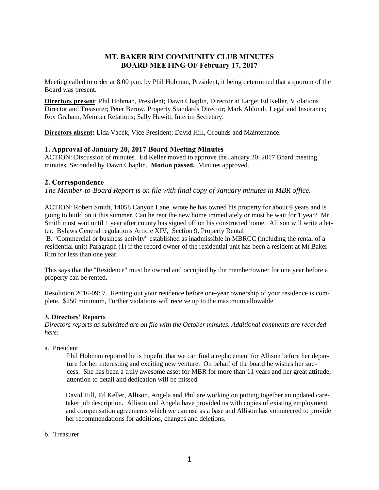# **MT. BAKER RIM COMMUNITY CLUB MINUTES BOARD MEETING OF February 17, 2017**

Meeting called to order at 8:00 p.m. by Phil Hobman, President, it being determined that a quorum of the Board was present.

**Directors present**: Phil Hobman, President; Dawn Chaplin, Director at Large; Ed Keller, Violations Director and Treasurer; Peter Berow, Property Standards Director; Mark Ablondi, Legal and Insurance; Roy Graham, Member Relations; Sally Hewitt, Interim Secretary.

**Directors absent:** Lida Vacek, Vice President; David Hill, Grounds and Maintenance.

# **1. Approval of January 20, 2017 Board Meeting Minutes**

ACTION: Discussion of minutes. Ed Keller moved to approve the January 20, 2017 Board meeting minutes. Seconded by Dawn Chaplin. **Motion passed.** Minutes approved.

## **2. Correspondence**

*The Member-to-Board Report is on file with final copy of January minutes in MBR office.*

ACTION: Robert Smith, 14058 Canyon Lane, wrote he has owned his property for about 9 years and is going to build on it this summer. Can he rent the new home immediately or must he wait for 1 year? Mr. Smith must wait until 1 year after county has signed off on his constructed home. Allison will write a letter. Bylaws General regulations Article XIV, Section 9, Property Rental

B. "Commercial or business activity" established as inadmissible in MBRCC (including the rental of a residential unit) Paragraph (1) if the record owner of the residential unit has been a resident at Mt Baker Rim for less than one year.

This says that the "Residence" must be owned and occupied by the member/owner for one year before a property can be rented.

Resolution 2016-09: 7. Renting out your residence before one-year ownership of your residence is complete. \$250 minimum, Further violations will receive up to the maximum allowable

## **3. Directors' Reports**

*Directors reports as submitted are on file with the October minutes. Additional comments are recorded here:*

a. President

Phil Hobman reported he is hopeful that we can find a replacement for Allison before her departure for her interesting and exciting new venture. On behalf of the board he wishes her success. She has been a truly awesome asset for MBR for more than 11 years and her great attitude, attention to detail and dedication will be missed.

David Hill, Ed Keller, Allison, Angela and Phil are working on putting together an updated caretaker job description. Allison and Angela have provided us with copies of existing employment and compensation agreements which we can use as a base and Allison has volunteered to provide her recommendations for additions, changes and deletions.

## b. Treasurer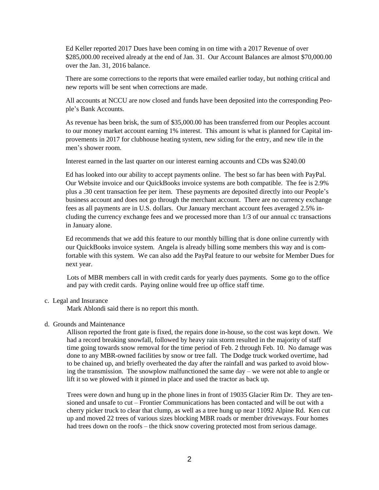Ed Keller reported 2017 Dues have been coming in on time with a 2017 Revenue of over \$285,000.00 received already at the end of Jan. 31. Our Account Balances are almost \$70,000.00 over the Jan. 31, 2016 balance.

There are some corrections to the reports that were emailed earlier today, but nothing critical and new reports will be sent when corrections are made.

All accounts at NCCU are now closed and funds have been deposited into the corresponding People's Bank Accounts.

As revenue has been brisk, the sum of \$35,000.00 has been transferred from our Peoples account to our money market account earning 1% interest. This amount is what is planned for Capital improvements in 2017 for clubhouse heating system, new siding for the entry, and new tile in the men's shower room.

Interest earned in the last quarter on our interest earning accounts and CDs was \$240.00

Ed has looked into our ability to accept payments online. The best so far has been with PayPal. Our Website invoice and our QuickBooks invoice systems are both compatible. The fee is 2.9% plus a .30 cent transaction fee per item. These payments are deposited directly into our People's business account and does not go through the merchant account. There are no currency exchange fees as all payments are in U.S. dollars. Our January merchant account fees averaged 2.5% including the currency exchange fees and we processed more than 1/3 of our annual cc transactions in January alone.

Ed recommends that we add this feature to our monthly billing that is done online currently with our QuickBooks invoice system. Angela is already billing some members this way and is comfortable with this system. We can also add the PayPal feature to our website for Member Dues for next year.

Lots of MBR members call in with credit cards for yearly dues payments. Some go to the office and pay with credit cards. Paying online would free up office staff time.

c. Legal and Insurance

Mark Ablondi said there is no report this month.

#### d. Grounds and Maintenance

Allison reported the front gate is fixed, the repairs done in-house, so the cost was kept down. We had a record breaking snowfall, followed by heavy rain storm resulted in the majority of staff time going towards snow removal for the time period of Feb. 2 through Feb. 10. No damage was done to any MBR-owned facilities by snow or tree fall. The Dodge truck worked overtime, had to be chained up, and briefly overheated the day after the rainfall and was parked to avoid blowing the transmission. The snowplow malfunctioned the same day – we were not able to angle or lift it so we plowed with it pinned in place and used the tractor as back up.

Trees were down and hung up in the phone lines in front of 19035 Glacier Rim Dr. They are tensioned and unsafe to cut – Frontier Communications has been contacted and will be out with a cherry picker truck to clear that clump, as well as a tree hung up near 11092 Alpine Rd. Ken cut up and moved 22 trees of various sizes blocking MBR roads or member driveways. Four homes had trees down on the roofs – the thick snow covering protected most from serious damage.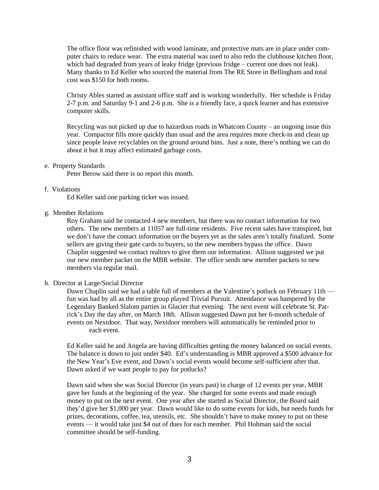The office floor was refinished with wood laminate, and protective mats are in place under computer chairs to reduce wear. The extra material was used to also redo the clubhouse kitchen floor, which had degraded from years of leaky fridge (previous fridge – current one does not leak). Many thanks to Ed Keller who sourced the material from The RE Store in Bellingham and total cost was \$150 for both rooms.

Christy Ables started as assistant office staff and is working wonderfully. Her schedule is Friday 2-7 p.m. and Saturday 9-1 and 2-6 p.m. She is a friendly face, a quick learner and has extensive computer skills.

Recycling was not picked up due to hazardous roads in Whatcom County – an ongoing issue this year. Compactor fills more quickly than usual and the area requires more check-in and clean up since people leave recyclables on the ground around bins. Just a note, there's nothing we can do about it but it may affect estimated garbage costs.

#### e. Property Standards

Peter Berow said there is no report this month.

#### f. Violations

Ed Keller said one parking ticket was issued.

#### g. Member Relations

Roy Graham said he contacted 4 new members, but there was no contact information for two others. The new members at 11057 are full-time residents. Five recent sales have transpired, but we don't have the contact information on the buyers yet as the sales aren't totally finalized. Some sellers are giving their gate cards to buyers, so the new members bypass the office. Dawn Chaplin suggested we contact realtors to give them our information. Allison suggested we put our new member packet on the MBR website. The office sends new member packets to new members via regular mail.

#### h. Director at Large/Social Director

Dawn Chaplin said we had a table full of members at the Valentine's potluck on February 11th fun was had by all as the entire group played Trivial Pursuit. Attendance was hampered by the Legendary Banked Slalom parties in Glacier that evening. The next event will celebrate St. Patrick's Day the day after, on March 18th. Allison suggested Dawn put her 6-month schedule of events on Nextdoor. That way, Nextdoor members will automatically be reminded prior to each event.

Ed Keller said he and Angela are having difficulties getting the money balanced on social events. The balance is down to just under \$40. Ed's understanding is MBR approved a \$500 advance for the New Year's Eve event, and Dawn's social events would become self-sufficient after that. Dawn asked if we want people to pay for potlucks?

Dawn said when she was Social Director (in years past) in charge of 12 events per year, MBR gave her funds at the beginning of the year. She charged for some events and made enough money to put on the next event. One year after she started as Social Director, the Board said they'd give her \$1,000 per year. Dawn would like to do some events for kids, but needs funds for prizes, decorations, coffee, tea, utensils, etc. She shouldn't have to make money to put on these events — it would take just \$4 out of dues for each member. Phil Hobman said the social committee should be self-funding.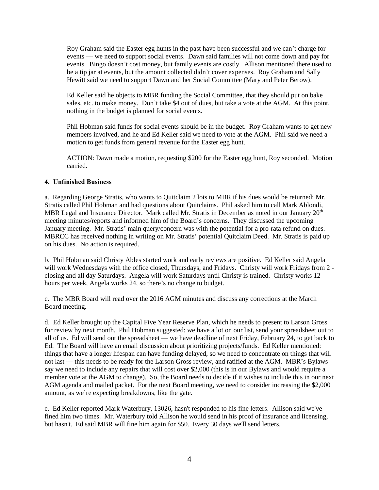Roy Graham said the Easter egg hunts in the past have been successful and we can't charge for events — we need to support social events. Dawn said families will not come down and pay for events. Bingo doesn't cost money, but family events are costly. Allison mentioned there used to be a tip jar at events, but the amount collected didn't cover expenses. Roy Graham and Sally Hewitt said we need to support Dawn and her Social Committee (Mary and Peter Berow).

Ed Keller said he objects to MBR funding the Social Committee, that they should put on bake sales, etc. to make money. Don't take \$4 out of dues, but take a vote at the AGM. At this point, nothing in the budget is planned for social events.

Phil Hobman said funds for social events should be in the budget. Roy Graham wants to get new members involved, and he and Ed Keller said we need to vote at the AGM. Phil said we need a motion to get funds from general revenue for the Easter egg hunt.

ACTION: Dawn made a motion, requesting \$200 for the Easter egg hunt, Roy seconded. Motion carried.

## **4. Unfinished Business**

a. Regarding George Stratis, who wants to Quitclaim 2 lots to MBR if his dues would be returned: Mr. Stratis called Phil Hobman and had questions about Quitclaims. Phil asked him to call Mark Ablondi, MBR Legal and Insurance Director. Mark called Mr. Stratis in December as noted in our January 20<sup>th</sup> meeting minutes/reports and informed him of the Board's concerns. They discussed the upcoming January meeting. Mr. Stratis' main query/concern was with the potential for a pro-rata refund on dues. MBRCC has received nothing in writing on Mr. Stratis' potential Quitclaim Deed. Mr. Stratis is paid up on his dues. No action is required.

b. Phil Hobman said Christy Ables started work and early reviews are positive. Ed Keller said Angela will work Wednesdays with the office closed, Thursdays, and Fridays. Christy will work Fridays from 2 closing and all day Saturdays. Angela will work Saturdays until Christy is trained. Christy works 12 hours per week, Angela works 24, so there's no change to budget.

c. The MBR Board will read over the 2016 AGM minutes and discuss any corrections at the March Board meeting.

d. Ed Keller brought up the Capital Five Year Reserve Plan, which he needs to present to Larson Gross for review by next month. Phil Hobman suggested: we have a lot on our list, send your spreadsheet out to all of us. Ed will send out the spreadsheet — we have deadline of next Friday, February 24, to get back to Ed. The Board will have an email discussion about prioritizing projects/funds. Ed Keller mentioned: things that have a longer lifespan can have funding delayed, so we need to concentrate on things that will not last — this needs to be ready for the Larson Gross review, and ratified at the AGM. MBR's Bylaws say we need to include any repairs that will cost over \$2,000 (this is in our Bylaws and would require a member vote at the AGM to change). So, the Board needs to decide if it wishes to include this in our next AGM agenda and mailed packet. For the next Board meeting, we need to consider increasing the \$2,000 amount, as we're expecting breakdowns, like the gate.

e. Ed Keller reported Mark Waterbury, 13026, hasn't responded to his fine letters. Allison said we've fined him two times. Mr. Waterbury told Allison he would send in his proof of insurance and licensing, but hasn't. Ed said MBR will fine him again for \$50. Every 30 days we'll send letters.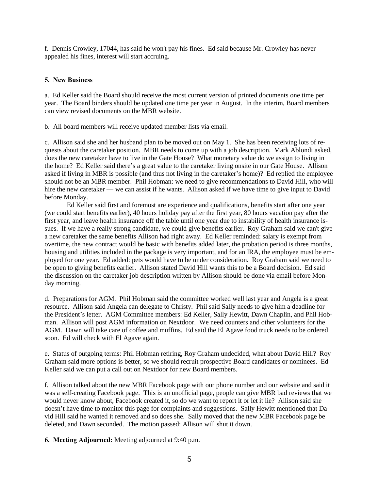f. Dennis Crowley, 17044, has said he won't pay his fines. Ed said because Mr. Crowley has never appealed his fines, interest will start accruing.

## **5. New Business**

a. Ed Keller said the Board should receive the most current version of printed documents one time per year. The Board binders should be updated one time per year in August. In the interim, Board members can view revised documents on the MBR website.

b. All board members will receive updated member lists via email.

c. Allison said she and her husband plan to be moved out on May 1. She has been receiving lots of requests about the caretaker position. MBR needs to come up with a job description. Mark Ablondi asked, does the new caretaker have to live in the Gate House? What monetary value do we assign to living in the home? Ed Keller said there's a great value to the caretaker living onsite in our Gate House. Allison asked if living in MBR is possible (and thus not living in the caretaker's home)? Ed replied the employee should not be an MBR member. Phil Hobman: we need to give recommendations to David Hill, who will hire the new caretaker — we can assist if he wants. Allison asked if we have time to give input to David before Monday.

Ed Keller said first and foremost are experience and qualifications, benefits start after one year (we could start benefits earlier), 40 hours holiday pay after the first year, 80 hours vacation pay after the first year, and leave health insurance off the table until one year due to instability of health insurance issues. If we have a really strong candidate, we could give benefits earlier. Roy Graham said we can't give a new caretaker the same benefits Allison had right away. Ed Keller reminded: salary is exempt from overtime, the new contract would be basic with benefits added later, the probation period is three months, housing and utilities included in the package is very important, and for an IRA, the employee must be employed for one year. Ed added: pets would have to be under consideration. Roy Graham said we need to be open to giving benefits earlier. Allison stated David Hill wants this to be a Board decision. Ed said the discussion on the caretaker job description written by Allison should be done via email before Monday morning.

d. Preparations for AGM. Phil Hobman said the committee worked well last year and Angela is a great resource. Allison said Angela can delegate to Christy. Phil said Sally needs to give him a deadline for the President's letter. AGM Committee members: Ed Keller, Sally Hewitt, Dawn Chaplin, and Phil Hobman. Allison will post AGM information on Nextdoor. We need counters and other volunteers for the AGM. Dawn will take care of coffee and muffins. Ed said the El Agave food truck needs to be ordered soon. Ed will check with El Agave again.

e. Status of outgoing terms: Phil Hobman retiring, Roy Graham undecided, what about David Hill? Roy Graham said more options is better, so we should recruit prospective Board candidates or nominees. Ed Keller said we can put a call out on Nextdoor for new Board members.

f. Allison talked about the new MBR Facebook page with our phone number and our website and said it was a self-creating Facebook page. This is an unofficial page, people can give MBR bad reviews that we would never know about, Facebook created it, so do we want to report it or let it lie? Allison said she doesn't have time to monitor this page for complaints and suggestions. Sally Hewitt mentioned that David Hill said he wanted it removed and so does she. Sally moved that the new MBR Facebook page be deleted, and Dawn seconded. The motion passed: Allison will shut it down.

**6. Meeting Adjourned:** Meeting adjourned at 9:40 p.m.